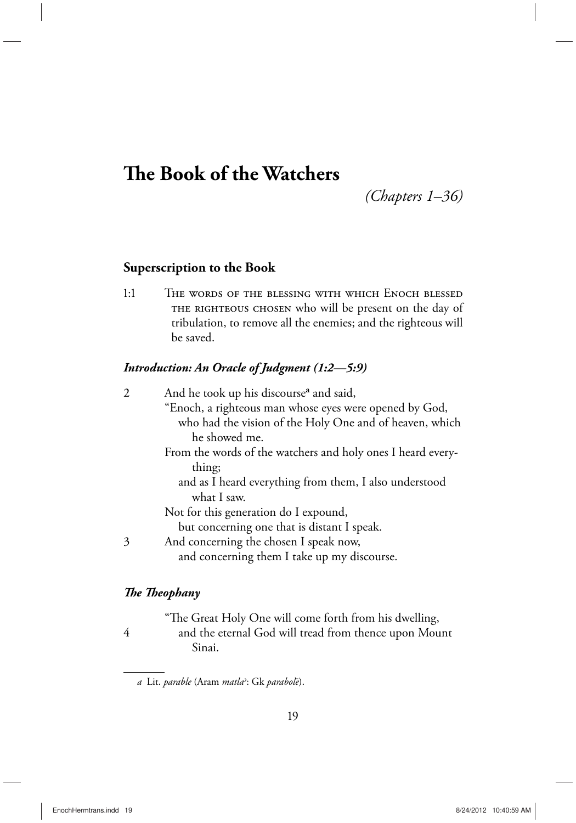# **The Book of the Watchers**

*(Chapters 1–36)*

## **Superscription to the Book**

1:1 The words of the blessing with which Enoch blessed THE RIGHTEOUS CHOSEN who will be present on the day of tribulation, to remove all the enemies; and the righteous will be saved.

## *Introduction: An Oracle of Judgment (1:2—5:9)*

| $\mathcal{D}_{1}^{(1)}$ | And he took up his discourse <sup>a</sup> and said,         |
|-------------------------|-------------------------------------------------------------|
|                         | "Enoch, a righteous man whose eyes were opened by God,      |
|                         | who had the vision of the Holy One and of heaven, which     |
|                         | he showed me.                                               |
|                         | From the words of the watchers and holy ones I heard every- |
|                         | thing;                                                      |
|                         | and as I heard everything from them, I also understood      |
|                         | what I saw.                                                 |
|                         | Not for this generation do I expound,                       |
|                         | but concerning one that is distant I speak.                 |
| 3                       | And concerning the chosen I speak now,                      |
|                         | and concerning them I take up my discourse.                 |
|                         |                                                             |

## *The Theophany*

 "The Great Holy One will come forth from his dwelling, 4 and the eternal God will tread from thence upon Mount Sinai.

*a* Lit. *parable* (Aram *matla<*: Gk *paraboleμ*).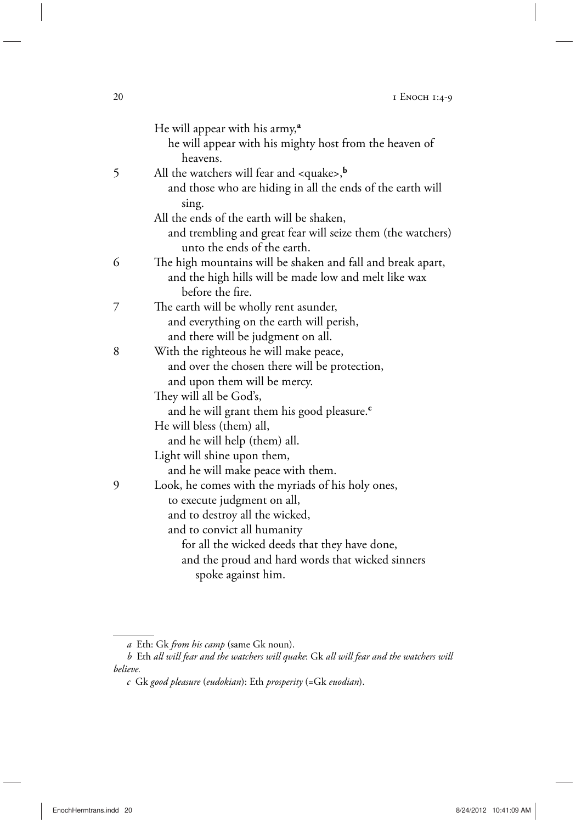| He will appear with his army, <sup>a</sup><br>he will appear with his mighty host from the heaven of<br>heavens.                         |
|------------------------------------------------------------------------------------------------------------------------------------------|
| All the watchers will fear and $\langle \text{quake} \rangle$ ,<br>and those who are hiding in all the ends of the earth will<br>sing.   |
| All the ends of the earth will be shaken,<br>and trembling and great fear will seize them (the watchers)<br>unto the ends of the earth.  |
| The high mountains will be shaken and fall and break apart,<br>and the high hills will be made low and melt like wax<br>before the fire. |
| The earth will be wholly rent asunder,<br>and everything on the earth will perish,<br>and there will be judgment on all.                 |
| With the righteous he will make peace,<br>and over the chosen there will be protection,<br>and upon them will be mercy.                  |
| They will all be God's,<br>and he will grant them his good pleasure. <sup>c</sup>                                                        |
| He will bless (them) all,<br>and he will help (them) all.<br>Light will shine upon them,                                                 |
| and he will make peace with them.                                                                                                        |
| Look, he comes with the myriads of his holy ones,<br>to execute judgment on all,                                                         |
| and to destroy all the wicked,                                                                                                           |
| and to convict all humanity<br>for all the wicked deeds that they have done,                                                             |
| and the proud and hard words that wicked sinners<br>spoke against him.                                                                   |
|                                                                                                                                          |

*a* Eth: Gk *from his camp* (same Gk noun).

*b* Eth *all will fear and the watchers will quake*: Gk *all will fear and the watchers will believe.*

*c* Gk *good pleasure* (*eudokian*): Eth *prosperity* (=Gk *euodian*).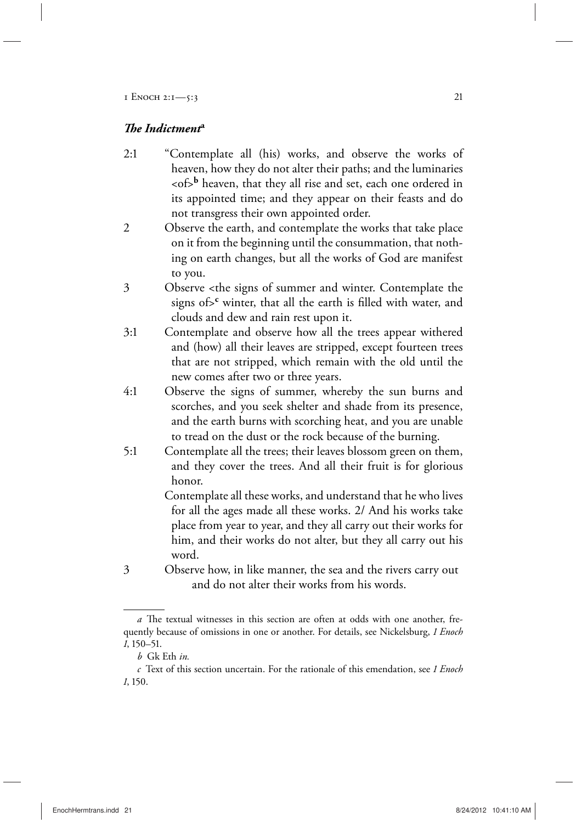### *The Indictment***<sup>a</sup>**

- 2:1 "Contemplate all (his) works, and observe the works of heaven, how they do not alter their paths; and the luminaries <of>**<sup>b</sup>** heaven, that they all rise and set, each one ordered in its appointed time; and they appear on their feasts and do not transgress their own appointed order.
- 2 Observe the earth, and contemplate the works that take place on it from the beginning until the consummation, that nothing on earth changes, but all the works of God are manifest to you.
- 3 Observe <the signs of summer and winter. Contemplate the signs of>**<sup>c</sup>** winter, that all the earth is filled with water, and clouds and dew and rain rest upon it.
- 3:1 Contemplate and observe how all the trees appear withered and (how) all their leaves are stripped, except fourteen trees that are not stripped, which remain with the old until the new comes after two or three years.
- 4:1 Observe the signs of summer, whereby the sun burns and scorches, and you seek shelter and shade from its presence, and the earth burns with scorching heat, and you are unable to tread on the dust or the rock because of the burning.
- 5:1 Contemplate all the trees; their leaves blossom green on them, and they cover the trees. And all their fruit is for glorious honor.

 Contemplate all these works, and understand that he who lives for all the ages made all these works. 2/ And his works take place from year to year, and they all carry out their works for him, and their works do not alter, but they all carry out his word.

3 Observe how, in like manner, the sea and the rivers carry out and do not alter their works from his words.

*a* The textual witnesses in this section are often at odds with one another, frequently because of omissions in one or another. For details, see Nickelsburg, *1 Enoch 1*, 150–51.

*b* Gk Eth *in.*

*c* Text of this section uncertain. For the rationale of this emendation, see *1 Enoch 1*, 150.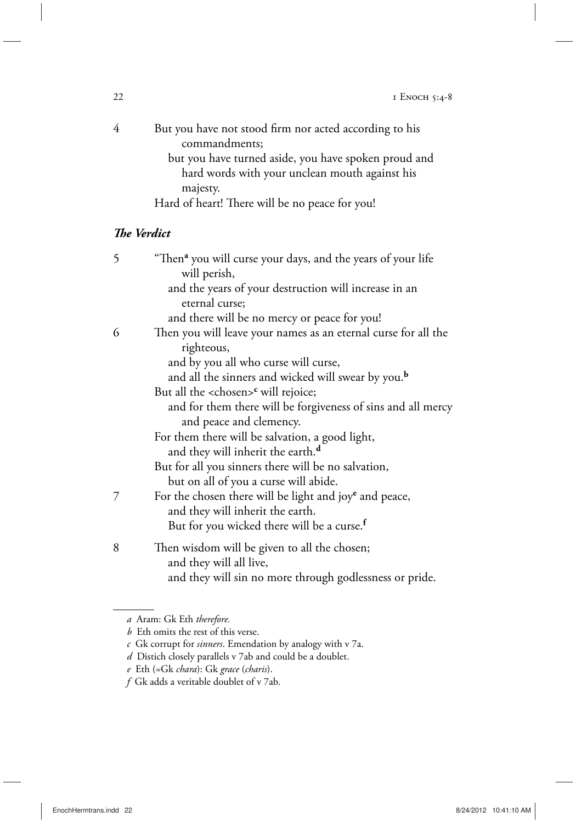| But you have not stood firm nor acted according to his |
|--------------------------------------------------------|
| commandments;                                          |
| but you have turned aside, you have spoken proud and   |
| hard words with your unclean mouth against his         |
| majesty.                                               |
| Hard of heart! There will be no peace for you!         |

## *The Verdict*

| 5 | "Then <sup>a</sup> you will curse your days, and the years of your life |
|---|-------------------------------------------------------------------------|
|   | will perish,                                                            |
|   | and the years of your destruction will increase in an                   |
|   | eternal curse;                                                          |
|   | and there will be no mercy or peace for you!                            |
| 6 | Then you will leave your names as an eternal curse for all the          |
|   | righteous,                                                              |
|   | and by you all who curse will curse,                                    |
|   | and all the sinners and wicked will swear by you. <sup>b</sup>          |
|   | But all the <chosen><sup>c</sup> will rejoice;</chosen>                 |
|   | and for them there will be forgiveness of sins and all mercy            |
|   | and peace and clemency.                                                 |
|   | For them there will be salvation, a good light,                         |
|   | and they will inherit the earth. <sup>d</sup>                           |
|   | But for all you sinners there will be no salvation,                     |
|   | but on all of you a curse will abide.                                   |
| 7 | For the chosen there will be light and joye and peace,                  |
|   | and they will inherit the earth.                                        |
|   | But for you wicked there will be a curse. <sup>f</sup>                  |
| 8 | Then wisdom will be given to all the chosen;                            |
|   | and they will all live,                                                 |
|   | and they will sin no more through godlessness or pride.                 |
|   |                                                                         |

*a* Aram: Gk Eth *therefore.*

*b* Eth omits the rest of this verse.

*c* Gk corrupt for *sinners*. Emendation by analogy with v 7a.

*d* Distich closely parallels v 7ab and could be a doublet.

*e* Eth (=Gk *chara*): Gk *grace* (*charis*).

*f* Gk adds a veritable doublet of v 7ab.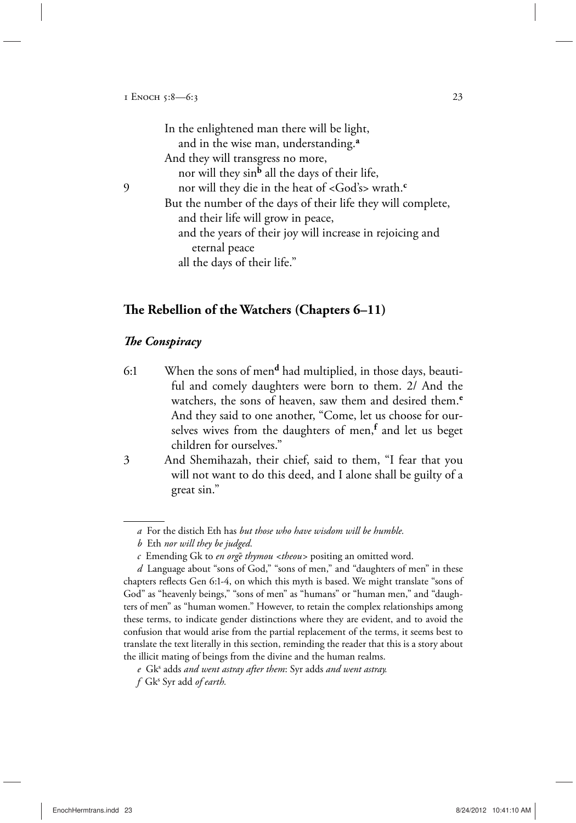|   | In the enlightened man there will be light,                         |
|---|---------------------------------------------------------------------|
|   | and in the wise man, understanding. <sup>a</sup>                    |
|   | And they will transgress no more,                                   |
|   | nor will they sin <sup>b</sup> all the days of their life,          |
| 9 | nor will they die in the heat of <god's> wrath.<sup>c</sup></god's> |
|   | But the number of the days of their life they will complete,        |
|   | and their life will grow in peace,                                  |
|   | and the years of their joy will increase in rejoicing and           |
|   | eternal peace                                                       |
|   | all the days of their life."                                        |
|   |                                                                     |

## **The Rebellion of the Watchers (Chapters 6–11)**

#### *The Conspiracy*

6:1 When the sons of men**d** had multiplied, in those days, beautiful and comely daughters were born to them. 2/ And the watchers, the sons of heaven, saw them and desired them.**<sup>e</sup>** And they said to one another, "Come, let us choose for ourselves wives from the daughters of men,**<sup>f</sup>** and let us beget children for ourselves."

3 And Shemihazah, their chief, said to them, "I fear that you will not want to do this deed, and I alone shall be guilty of a great sin."

*a* For the distich Eth has *but those who have wisdom will be humble.*

*b* Eth *nor will they be judged.*

*c* Emending Gk to *en orgeμ thymou <theou>* positing an omitted word.

*d* Language about "sons of God," "sons of men," and "daughters of men" in these chapters reflects Gen 6:1-4, on which this myth is based. We might translate "sons of God" as "heavenly beings," "sons of men" as "humans" or "human men," and "daughters of men" as "human women." However, to retain the complex relationships among these terms, to indicate gender distinctions where they are evident, and to avoid the confusion that would arise from the partial replacement of the terms, it seems best to translate the text literally in this section, reminding the reader that this is a story about the illicit mating of beings from the divine and the human realms.

*e* Gk<sup>s</sup> adds *and went astray after them*: Syr adds *and went astray.*

*f* Gks Syr add *of earth.*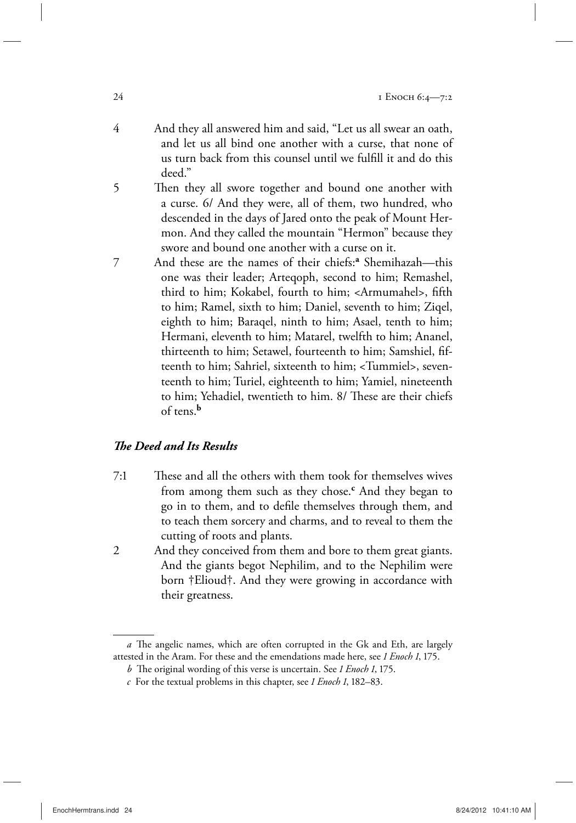- 4 And they all answered him and said, "Let us all swear an oath, and let us all bind one another with a curse, that none of us turn back from this counsel until we fulfill it and do this deed."
- 5 Then they all swore together and bound one another with a curse. 6/ And they were, all of them, two hundred, who descended in the days of Jared onto the peak of Mount Hermon. And they called the mountain "Hermon" because they swore and bound one another with a curse on it.
- 7 And these are the names of their chiefs:**<sup>a</sup>** Shemihazah—this one was their leader; Arteqoph, second to him; Remashel, third to him; Kokabel, fourth to him; <Armumahel>, fifth to him; Ramel, sixth to him; Daniel, seventh to him; Ziqel, eighth to him; Baraqel, ninth to him; Asael, tenth to him; Hermani, eleventh to him; Matarel, twelfth to him; Ananel, thirteenth to him; Setawel, fourteenth to him; Samshiel, fifteenth to him; Sahriel, sixteenth to him; <Tummiel>, seventeenth to him; Turiel, eighteenth to him; Yamiel, nineteenth to him; Yehadiel, twentieth to him. 8/ These are their chiefs of tens.**<sup>b</sup>**

## *The Deed and Its Results*

- 7:1 These and all the others with them took for themselves wives from among them such as they chose.**<sup>c</sup>** And they began to go in to them, and to defile themselves through them, and to teach them sorcery and charms, and to reveal to them the cutting of roots and plants.
- 2 And they conceived from them and bore to them great giants. And the giants begot Nephilim, and to the Nephilim were born †Elioud†. And they were growing in accordance with their greatness.

*a* The angelic names, which are often corrupted in the Gk and Eth, are largely attested in the Aram. For these and the emendations made here, see *1 Enoch 1*, 175.

*b* The original wording of this verse is uncertain. See *1 Enoch 1*, 175.

*c* For the textual problems in this chapter, see *1 Enoch 1*, 182–83.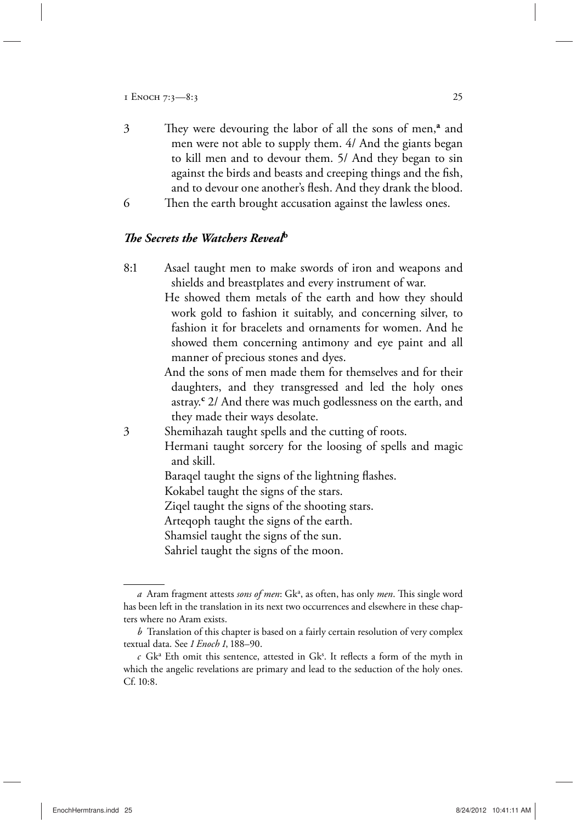- 3 They were devouring the labor of all the sons of men,**<sup>a</sup>** and men were not able to supply them. 4/ And the giants began to kill men and to devour them. 5/ And they began to sin against the birds and beasts and creeping things and the fish, and to devour one another's flesh. And they drank the blood.
- 6 Then the earth brought accusation against the lawless ones.

### *The Secrets the Watchers Reveal***<sup>b</sup>**

8:1 Asael taught men to make swords of iron and weapons and shields and breastplates and every instrument of war.

> He showed them metals of the earth and how they should work gold to fashion it suitably, and concerning silver, to fashion it for bracelets and ornaments for women. And he showed them concerning antimony and eye paint and all manner of precious stones and dyes.

> And the sons of men made them for themselves and for their daughters, and they transgressed and led the holy ones astray.**<sup>c</sup>** 2/ And there was much godlessness on the earth, and they made their ways desolate.

3 Shemihazah taught spells and the cutting of roots.

 Hermani taught sorcery for the loosing of spells and magic and skill.

Baraqel taught the signs of the lightning flashes.

Kokabel taught the signs of the stars.

Ziqel taught the signs of the shooting stars.

Arteqoph taught the signs of the earth.

Shamsiel taught the signs of the sun.

Sahriel taught the signs of the moon.

a Aram fragment attests *sons of men*: Gk<sup>a</sup>, as often, has only *men*. This single word has been left in the translation in its next two occurrences and elsewhere in these chapters where no Aram exists.

*b* Translation of this chapter is based on a fairly certain resolution of very complex textual data. See *1 Enoch 1*, 188–90.

 $c$  Gk<sup>a</sup> Eth omit this sentence, attested in Gk<sup>s</sup>. It reflects a form of the myth in which the angelic revelations are primary and lead to the seduction of the holy ones. Cf. 10:8.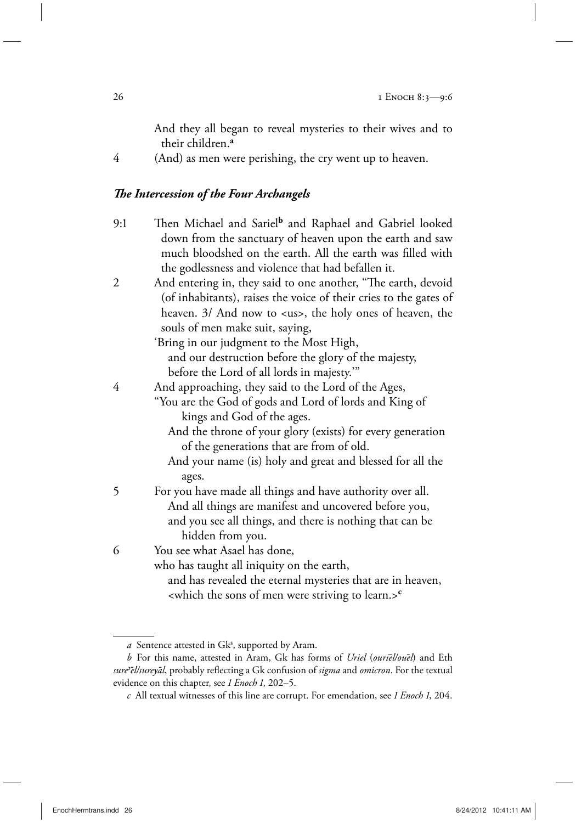And they all began to reveal mysteries to their wives and to their children.**<sup>a</sup>**

4 (And) as men were perishing, the cry went up to heaven.

## *The Intercession of the Four Archangels*

- 9:1 Then Michael and Sariel**<sup>b</sup>** and Raphael and Gabriel looked down from the sanctuary of heaven upon the earth and saw much bloodshed on the earth. All the earth was filled with the godlessness and violence that had befallen it.
- 2 And entering in, they said to one another, "The earth, devoid (of inhabitants), raises the voice of their cries to the gates of heaven. 3/ And now to <us>, the holy ones of heaven, the souls of men make suit, saying,

 'Bring in our judgment to the Most High, and our destruction before the glory of the majesty, before the Lord of all lords in majesty.'"

- 4 And approaching, they said to the Lord of the Ages,
	- "You are the God of gods and Lord of lords and King of kings and God of the ages.
		- And the throne of your glory (exists) for every generation of the generations that are from of old.
		- And your name (is) holy and great and blessed for all the ages.
- 5 For you have made all things and have authority over all. And all things are manifest and uncovered before you, and you see all things, and there is nothing that can be hidden from you.

6 You see what Asael has done,

who has taught all iniquity on the earth,

 and has revealed the eternal mysteries that are in heaven, <which the sons of men were striving to learn.>**<sup>c</sup>**

a Sentence attested in Gk<sup>s</sup>, supported by Aram.

*b* For this name, attested in Aram, Gk has forms of *Uriel* (*ourieμl/oueμl*) and Eth *sure<eμl/sureyaμl*, probably reflecting a Gk confusion of *sigma* and *omicron*. For the textual evidence on this chapter, see *1 Enoch 1*, 202–5.

*c* All textual witnesses of this line are corrupt. For emendation, see *1 Enoch 1*, 204.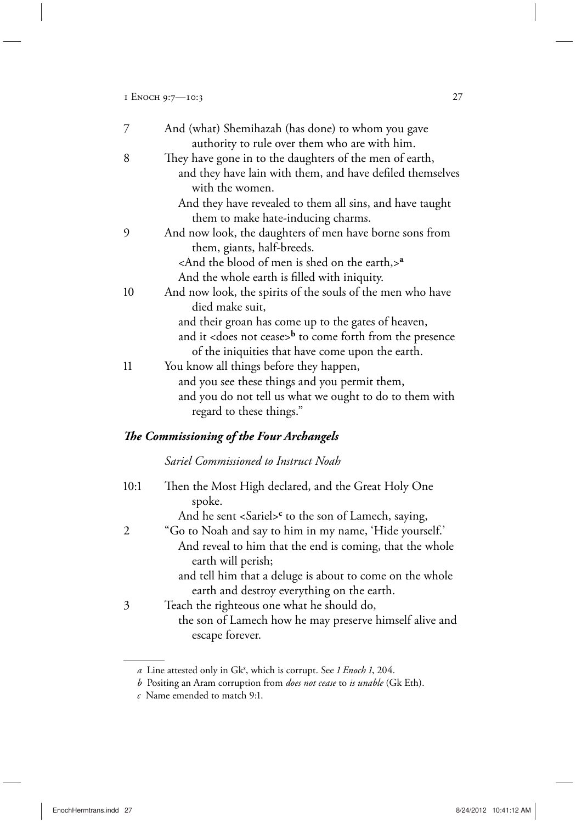| 7  | And (what) Shemihazah (has done) to whom you gave                       |
|----|-------------------------------------------------------------------------|
|    | authority to rule over them who are with him.                           |
| 8  | They have gone in to the daughters of the men of earth,                 |
|    | and they have lain with them, and have defiled themselves               |
|    | with the women.                                                         |
|    | And they have revealed to them all sins, and have taught                |
|    | them to make hate-inducing charms.                                      |
| 9  | And now look, the daughters of men have borne sons from                 |
|    | them, giants, half-breeds.                                              |
|    | <and blood="" earth,="" is="" men="" of="" on="" shed="" the="">a</and> |
|    | And the whole earth is filled with iniquity.                            |
| 10 | And now look, the spirits of the souls of the men who have              |
|    | died make suit,                                                         |
|    | and their groan has come up to the gates of heaven,                     |
|    | and it <does cease="" not="">b to come forth from the presence</does>   |
|    | of the iniquities that have come upon the earth.                        |
| 11 | You know all things before they happen,                                 |
|    | and you see these things and you permit them,                           |
|    | and you do not tell us what we ought to do to them with                 |
|    | regard to these things."                                                |
|    | The Commissioning of the Four Archangels                                |
|    | Sariel Commissioned to Instruct Noah                                    |

## 10:1 Then the Most High declared, and the Great Holy One spoke. And he sent <Sariel><sup>c</sup> to the son of Lamech, saying, 2 "Go to Noah and say to him in my name, 'Hide yourself.' And reveal to him that the end is coming, that the whole earth will perish; and tell him that a deluge is about to come on the whole earth and destroy everything on the earth. 3 Teach the righteous one what he should do, the son of Lamech how he may preserve himself alive and escape forever.

a Line attested only in Gk<sup>s</sup>, which is corrupt. See 1 Enoch 1, 204.

*b* Positing an Aram corruption from *does not cease* to *is unable* (Gk Eth).

*c* Name emended to match 9:1.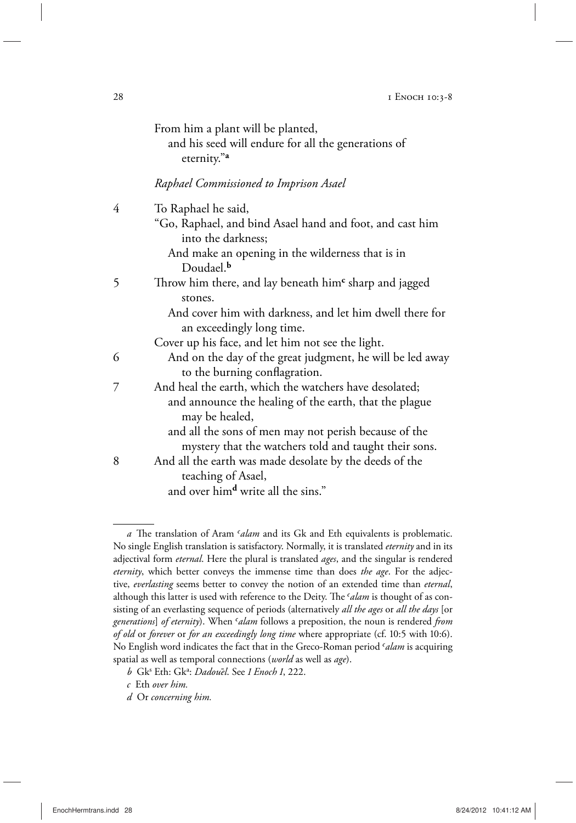|   | From him a plant will be planted,<br>and his seed will endure for all the generations of<br>eternity." <sup>a</sup> |
|---|---------------------------------------------------------------------------------------------------------------------|
|   | Raphael Commissioned to Imprison Asael                                                                              |
| 4 | To Raphael he said,                                                                                                 |
|   | "Go, Raphael, and bind Asael hand and foot, and cast him<br>into the darkness;                                      |
|   | And make an opening in the wilderness that is in<br>Doudael. <sup>b</sup>                                           |
| 5 | Throw him there, and lay beneath him <sup>c</sup> sharp and jagged<br>stones.                                       |
|   | And cover him with darkness, and let him dwell there for<br>an exceedingly long time.                               |
|   | Cover up his face, and let him not see the light.                                                                   |
| 6 | And on the day of the great judgment, he will be led away<br>to the burning conflagration.                          |
| 7 | And heal the earth, which the watchers have desolated;                                                              |
|   | and announce the healing of the earth, that the plague<br>may be healed,                                            |
|   | and all the sons of men may not perish because of the                                                               |
|   | mystery that the watchers told and taught their sons.                                                               |

8 And all the earth was made desolate by the deeds of the teaching of Asael,

and over him**d** write all the sins."

*d* Or *concerning him.*

*a* The translation of Aram *>alam* and its Gk and Eth equivalents is problematic. No single English translation is satisfactory. Normally, it is translated *eternity* and in its adjectival form *eternal*. Here the plural is translated *ages*, and the singular is rendered *eternity*, which better conveys the immense time than does *the age*. For the adjective, *everlasting* seems better to convey the notion of an extended time than *eternal*, although this latter is used with reference to the Deity. The *<sup><i>alam*</sup> is thought of as con-</sub> sisting of an everlasting sequence of periods (alternatively *all the ages* or *all the days* [or *generations*] *of eternity*). When *>alam* follows a preposition, the noun is rendered *from of old* or *forever* or *for an exceedingly long time* where appropriate (cf. 10:5 with 10:6). No English word indicates the fact that in the Greco-Roman period *>alam* is acquiring spatial as well as temporal connections (*world* as well as *age*).

*b* Gks Eth: Gk<sup>a</sup> : *Dadoueμl*. See *1 Enoch 1*, 222.

*c* Eth *over him.*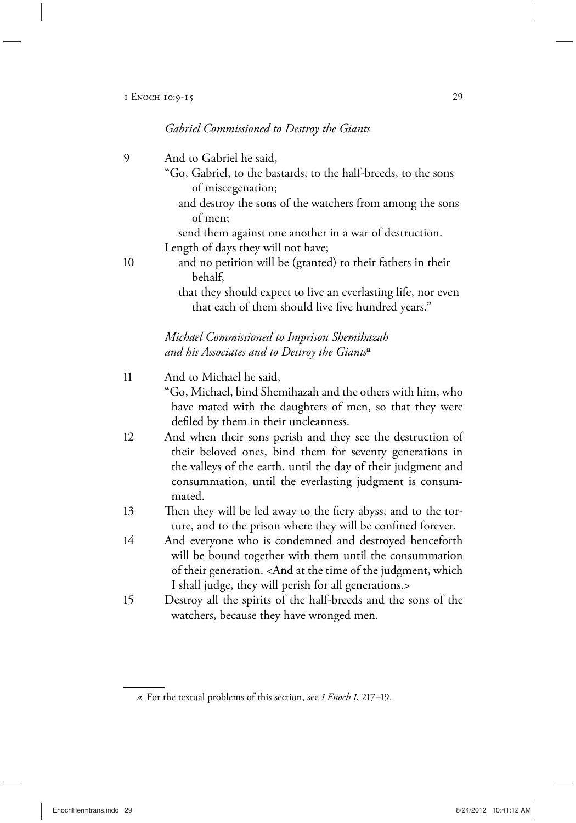## *Gabriel Commissioned to Destroy the Giants*

| 9  | And to Gabriel he said,                                                                                                                                                                                                                                           |
|----|-------------------------------------------------------------------------------------------------------------------------------------------------------------------------------------------------------------------------------------------------------------------|
|    | "Go, Gabriel, to the bastards, to the half-breeds, to the sons                                                                                                                                                                                                    |
|    | of miscegenation;<br>and destroy the sons of the watchers from among the sons<br>of men;                                                                                                                                                                          |
|    | send them against one another in a war of destruction.                                                                                                                                                                                                            |
|    | Length of days they will not have;                                                                                                                                                                                                                                |
| 10 | and no petition will be (granted) to their fathers in their<br>behalf,                                                                                                                                                                                            |
|    | that they should expect to live an everlasting life, nor even<br>that each of them should live five hundred years."                                                                                                                                               |
|    | Michael Commissioned to Imprison Shemihazah                                                                                                                                                                                                                       |
|    | and his Associates and to Destroy the Giants <sup>a</sup>                                                                                                                                                                                                         |
| 11 | And to Michael he said,                                                                                                                                                                                                                                           |
|    | "Go, Michael, bind Shemihazah and the others with him, who<br>have mated with the daughters of men, so that they were<br>defiled by them in their uncleanness.                                                                                                    |
| 12 | And when their sons perish and they see the destruction of<br>their beloved ones, bind them for seventy generations in<br>the valleys of the earth, until the day of their judgment and<br>consummation, until the everlasting judgment is consum-<br>mated.      |
| 13 | Then they will be led away to the fiery abyss, and to the tor-<br>ture, and to the prison where they will be confined forever.                                                                                                                                    |
| 14 | And everyone who is condemned and destroyed henceforth<br>will be bound together with them until the consummation<br>of their generation. <and at="" judgment,="" of="" the="" time="" which<br="">I shall judge, they will perish for all generations.&gt;</and> |
| 15 | Destroy all the spirits of the half-breeds and the sons of the<br>watchers, because they have wronged men.                                                                                                                                                        |

*a* For the textual problems of this section, see *1 Enoch 1*, 217–19.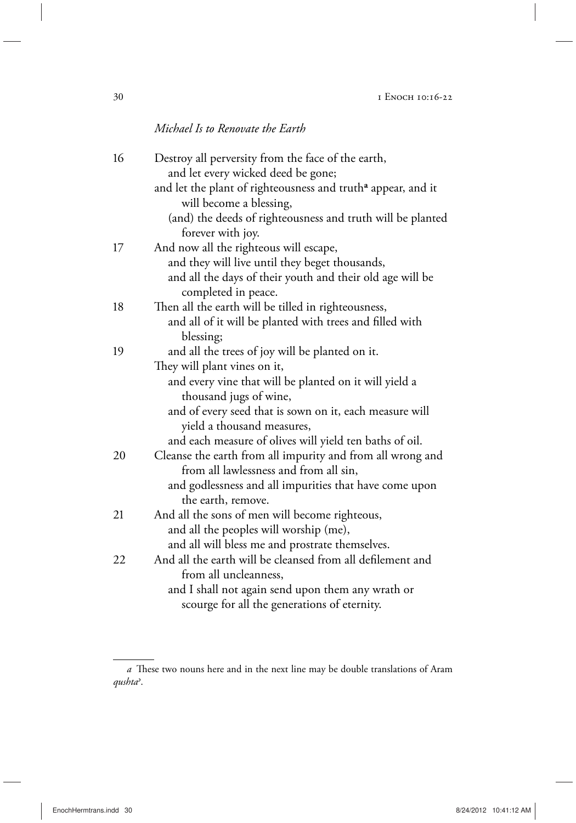## *Michael Is to Renovate the Earth*

| 16 | Destroy all perversity from the face of the earth,                       |
|----|--------------------------------------------------------------------------|
|    | and let every wicked deed be gone;                                       |
|    | and let the plant of righteousness and truth <sup>a</sup> appear, and it |
|    | will become a blessing,                                                  |
|    | (and) the deeds of righteousness and truth will be planted               |
|    | forever with joy.                                                        |
| 17 | And now all the righteous will escape,                                   |
|    | and they will live until they beget thousands,                           |
|    | and all the days of their youth and their old age will be                |
|    | completed in peace.                                                      |
| 18 | Then all the earth will be tilled in righteousness,                      |
|    | and all of it will be planted with trees and filled with                 |
|    | blessing;                                                                |
| 19 | and all the trees of joy will be planted on it.                          |
|    | They will plant vines on it,                                             |
|    | and every vine that will be planted on it will yield a                   |
|    | thousand jugs of wine,                                                   |
|    | and of every seed that is sown on it, each measure will                  |
|    | yield a thousand measures,                                               |
|    | and each measure of olives will yield ten baths of oil.                  |
| 20 | Cleanse the earth from all impurity and from all wrong and               |
|    | from all lawlessness and from all sin,                                   |
|    | and godlessness and all impurities that have come upon                   |
|    | the earth, remove.                                                       |
| 21 | And all the sons of men will become righteous,                           |
|    | and all the peoples will worship (me),                                   |
|    | and all will bless me and prostrate themselves.                          |
| 22 | And all the earth will be cleansed from all defilement and               |
|    | from all uncleanness,                                                    |
|    | and I shall not again send upon them any wrath or                        |
|    | scourge for all the generations of eternity.                             |

*a* These two nouns here and in the next line may be double translations of Aram *qushta<*.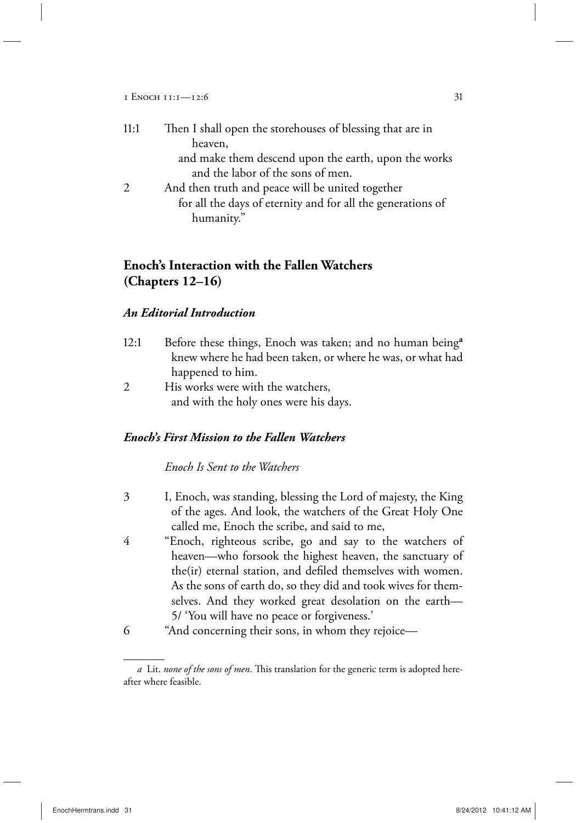1 Enoch 11:1—12:6 31

| 11:1 | Then I shall open the storehouses of blessing that are in   |
|------|-------------------------------------------------------------|
|      | heaven,                                                     |
|      | and make them descend upon the earth, upon the works        |
|      | and the labor of the sons of men.                           |
| 2    | And then truth and peace will be united together            |
|      | for all the days of eternity and for all the generations of |
|      | humanity."                                                  |

## **Enoch's Interaction with the Fallen Watchers (Chapters 12–16)**

### *An Editorial Introduction*

| 12:1 | Before these things, Enoch was taken; and no human being <sup>a</sup> |
|------|-----------------------------------------------------------------------|
|      | knew where he had been taken, or where he was, or what had            |
|      | happened to him.                                                      |

2 His works were with the watchers, and with the holy ones were his days.

### *Enoch's First Mission to the Fallen Watchers*

## *Enoch Is Sent to the Watchers*

- 3 I, Enoch, was standing, blessing the Lord of majesty, the King of the ages. And look, the watchers of the Great Holy One called me, Enoch the scribe, and said to me,
- 4 "Enoch, righteous scribe, go and say to the watchers of heaven—who forsook the highest heaven, the sanctuary of the(ir) eternal station, and defiled themselves with women. As the sons of earth do, so they did and took wives for themselves. And they worked great desolation on the earth— 5/ 'You will have no peace or forgiveness.'
- 6 "And concerning their sons, in whom they rejoice—

*a* Lit. *none of the sons of men*. This translation for the generic term is adopted hereafter where feasible.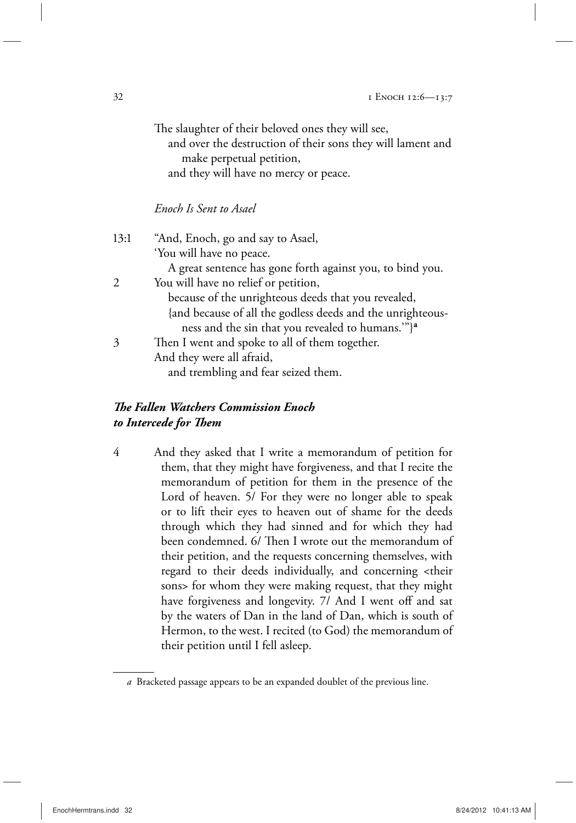|      | The slaughter of their beloved ones they will see,<br>and over the destruction of their sons they will lament and<br>make perpetual petition, |
|------|-----------------------------------------------------------------------------------------------------------------------------------------------|
|      | and they will have no mercy or peace.                                                                                                         |
|      | Enoch Is Sent to Asael                                                                                                                        |
| 13:1 | "And, Enoch, go and say to Asael,<br>'You will have no peace.                                                                                 |
|      | A great sentence has gone forth against you, to bind you.                                                                                     |
| 2    | You will have no relief or petition,                                                                                                          |
|      | because of the unrighteous deeds that you revealed,                                                                                           |
|      | {and because of all the godless deeds and the unrighteous-                                                                                    |
|      | ness and the sin that you revealed to humans.""} <sup>a</sup>                                                                                 |
| 3    | Then I went and spoke to all of them together.                                                                                                |
|      | And they were all afraid,                                                                                                                     |
|      | and trembling and fear seized them.                                                                                                           |

## *The Fallen Watchers Commission Enoch to Intercede for Them*

4 And they asked that I write a memorandum of petition for them, that they might have forgiveness, and that I recite the memorandum of petition for them in the presence of the Lord of heaven. 5/ For they were no longer able to speak or to lift their eyes to heaven out of shame for the deeds through which they had sinned and for which they had been condemned. 6/ Then I wrote out the memorandum of their petition, and the requests concerning themselves, with regard to their deeds individually, and concerning <their sons> for whom they were making request, that they might have forgiveness and longevity. 7/ And I went off and sat by the waters of Dan in the land of Dan, which is south of Hermon, to the west. I recited (to God) the memorandum of their petition until I fell asleep.

*a* Bracketed passage appears to be an expanded doublet of the previous line.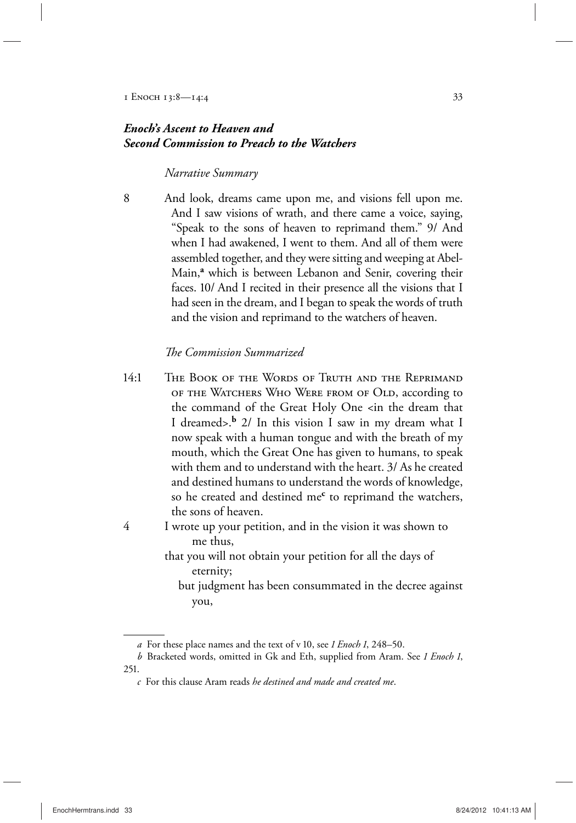## *Enoch's Ascent to Heaven and Second Commission to Preach to the Watchers*

#### *Narrative Summary*

8 And look, dreams came upon me, and visions fell upon me. And I saw visions of wrath, and there came a voice, saying, "Speak to the sons of heaven to reprimand them." 9/ And when I had awakened, I went to them. And all of them were assembled together, and they were sitting and weeping at Abel-Main,**<sup>a</sup>** which is between Lebanon and Senir, covering their faces. 10/ And I recited in their presence all the visions that I had seen in the dream, and I began to speak the words of truth and the vision and reprimand to the watchers of heaven.

#### *The Commission Summarized*

- 14:1 The Book of the Words of Truth and the Reprimand of the Watchers Who Were from of Old, according to the command of the Great Holy One <in the dream that I dreamed>.**b** 2/ In this vision I saw in my dream what I now speak with a human tongue and with the breath of my mouth, which the Great One has given to humans, to speak with them and to understand with the heart. 3/ As he created and destined humans to understand the words of knowledge, so he created and destined me**<sup>c</sup>** to reprimand the watchers, the sons of heaven.
- 4 I wrote up your petition, and in the vision it was shown to me thus,
	- that you will not obtain your petition for all the days of eternity;
		- but judgment has been consummated in the decree against you,

*a* For these place names and the text of v 10, see *1 Enoch 1*, 248–50.

*b* Bracketed words, omitted in Gk and Eth, supplied from Aram. See *1 Enoch 1*, 251.

*c* For this clause Aram reads *he destined and made and created me*.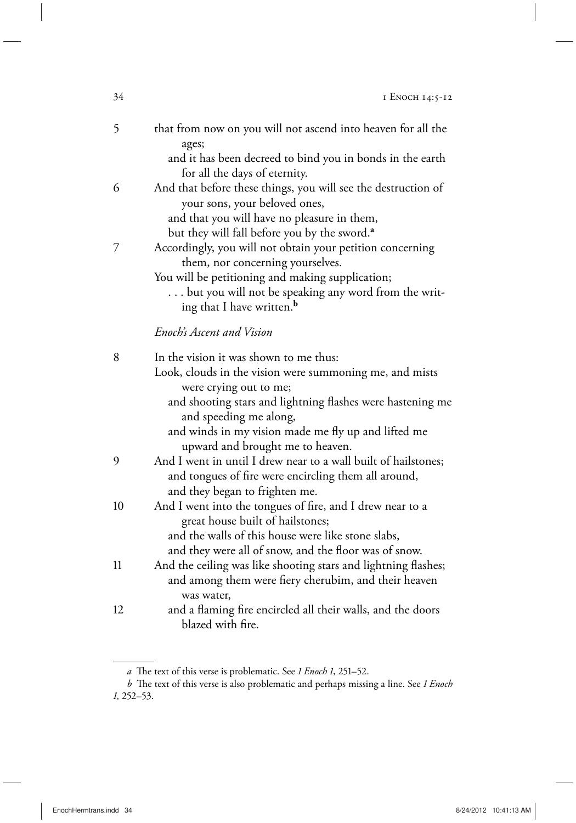| 5  | that from now on you will not ascend into heaven for all the<br>ages;                                                 |
|----|-----------------------------------------------------------------------------------------------------------------------|
|    | and it has been decreed to bind you in bonds in the earth<br>for all the days of eternity.                            |
| 6  | And that before these things, you will see the destruction of<br>your sons, your beloved ones,                        |
|    | and that you will have no pleasure in them,                                                                           |
| 7  | but they will fall before you by the sword. <sup>a</sup><br>Accordingly, you will not obtain your petition concerning |
|    | them, nor concerning yourselves.                                                                                      |
|    | You will be petitioning and making supplication;                                                                      |
|    | but you will not be speaking any word from the writ-<br>ing that I have written. <sup>b</sup>                         |
|    | Enoch's Ascent and Vision                                                                                             |
| 8  | In the vision it was shown to me thus:                                                                                |
|    | Look, clouds in the vision were summoning me, and mists                                                               |
|    | were crying out to me;                                                                                                |
|    | and shooting stars and lightning flashes were hastening me<br>and speeding me along,                                  |
|    | and winds in my vision made me fly up and lifted me<br>upward and brought me to heaven.                               |
| 9  | And I went in until I drew near to a wall built of hailstones;                                                        |
|    | and tongues of fire were encircling them all around,                                                                  |
|    | and they began to frighten me.                                                                                        |
| 10 | And I went into the tongues of fire, and I drew near to a<br>great house built of hailstones;                         |
|    | and the walls of this house were like stone slabs,                                                                    |
|    | and they were all of snow, and the floor was of snow.                                                                 |
| 11 | And the ceiling was like shooting stars and lightning flashes;                                                        |
|    | and among them were fiery cherubim, and their heaven<br>was water,                                                    |
| 12 | and a flaming fire encircled all their walls, and the doors                                                           |
|    | blazed with fire.                                                                                                     |

*a* The text of this verse is problematic. See *1 Enoch 1*, 251–52.

*b* The text of this verse is also problematic and perhaps missing a line. See *1 Enoch 1*, 252–53.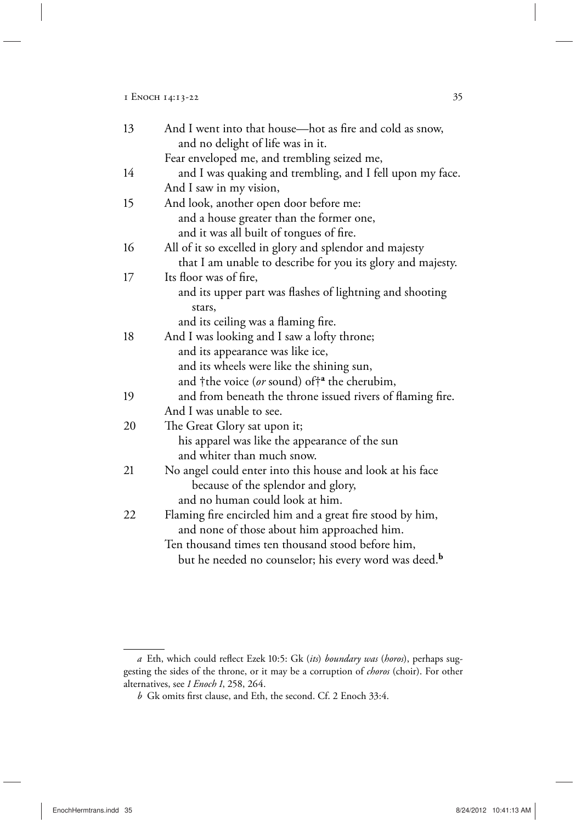#### 1 ENOCH 14:13-22 35

| 13 | And I went into that house—hot as fire and cold as snow,          |
|----|-------------------------------------------------------------------|
|    | and no delight of life was in it.                                 |
|    | Fear enveloped me, and trembling seized me,                       |
| 14 | and I was quaking and trembling, and I fell upon my face.         |
|    | And I saw in my vision,                                           |
| 15 | And look, another open door before me:                            |
|    | and a house greater than the former one,                          |
|    | and it was all built of tongues of fire.                          |
| 16 | All of it so excelled in glory and splendor and majesty           |
|    | that I am unable to describe for you its glory and majesty.       |
| 17 | Its floor was of fire,                                            |
|    | and its upper part was flashes of lightning and shooting          |
|    | stars,                                                            |
|    | and its ceiling was a flaming fire.                               |
| 18 | And I was looking and I saw a lofty throne;                       |
|    | and its appearance was like ice,                                  |
|    | and its wheels were like the shining sun,                         |
|    | and †the voice (or sound) of† <sup>a</sup> the cherubim,          |
| 19 | and from beneath the throne issued rivers of flaming fire.        |
|    | And I was unable to see.                                          |
| 20 | The Great Glory sat upon it;                                      |
|    | his apparel was like the appearance of the sun                    |
|    | and whiter than much snow.                                        |
| 21 | No angel could enter into this house and look at his face         |
|    | because of the splendor and glory,                                |
|    | and no human could look at him.                                   |
| 22 | Flaming fire encircled him and a great fire stood by him,         |
|    | and none of those about him approached him.                       |
|    | Ten thousand times ten thousand stood before him,                 |
|    | but he needed no counselor; his every word was deed. <sup>b</sup> |

*a* Eth, which could reflect Ezek 10:5: Gk (*its*) *boundary was* (*horos*), perhaps suggesting the sides of the throne, or it may be a corruption of *choros* (choir). For other alternatives, see *1 Enoch 1*, 258, 264.

*b* Gk omits first clause, and Eth, the second. Cf. 2 Enoch 33:4.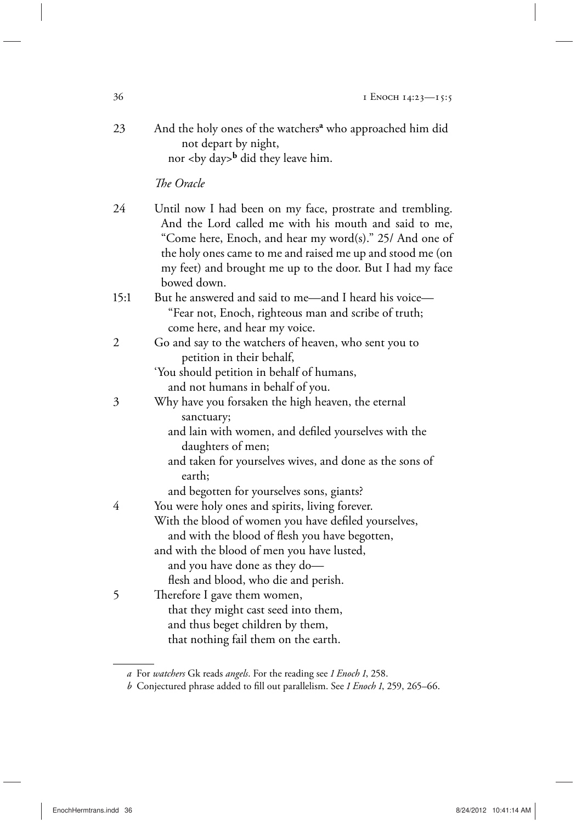23 And the holy ones of the watchers**<sup>a</sup>** who approached him did not depart by night, nor <by day>**<sup>b</sup>** did they leave him.

*The Oracle*

- 24 Until now I had been on my face, prostrate and trembling. And the Lord called me with his mouth and said to me, "Come here, Enoch, and hear my word(s)." 25/ And one of the holy ones came to me and raised me up and stood me (on my feet) and brought me up to the door. But I had my face bowed down.
- 15:1 But he answered and said to me—and I heard his voice— "Fear not, Enoch, righteous man and scribe of truth; come here, and hear my voice.
- 2 Go and say to the watchers of heaven, who sent you to petition in their behalf,
	- 'You should petition in behalf of humans, and not humans in behalf of you.
- 3 Why have you forsaken the high heaven, the eternal sanctuary;
	- and lain with women, and defiled yourselves with the daughters of men;
	- and taken for yourselves wives, and done as the sons of earth;
	- and begotten for yourselves sons, giants?
- 4 You were holy ones and spirits, living forever. With the blood of women you have defiled yourselves, and with the blood of flesh you have begotten, and with the blood of men you have lusted, and you have done as they do flesh and blood, who die and perish.
- 5 Therefore I gave them women, that they might cast seed into them, and thus beget children by them, that nothing fail them on the earth.

*a* For *watchers* Gk reads *angels*. For the reading see *1 Enoch 1*, 258.

*b* Conjectured phrase added to fill out parallelism. See *1 Enoch 1*, 259, 265–66.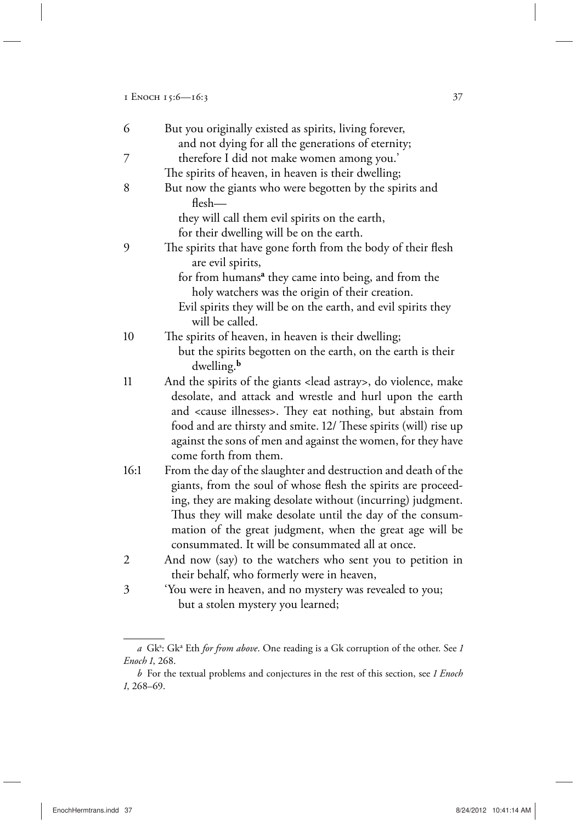1 Enoch 15:6—16:3 37

| 6    | But you originally existed as spirits, living forever,                             |
|------|------------------------------------------------------------------------------------|
|      | and not dying for all the generations of eternity;                                 |
| 7    | therefore I did not make women among you.'                                         |
|      | The spirits of heaven, in heaven is their dwelling;                                |
| 8    | But now the giants who were begotten by the spirits and                            |
|      | $f$ Hesh $-$                                                                       |
|      | they will call them evil spirits on the earth,                                     |
|      | for their dwelling will be on the earth.                                           |
| 9    | The spirits that have gone forth from the body of their flesh<br>are evil spirits, |
|      | for from humans <sup>a</sup> they came into being, and from the                    |
|      | holy watchers was the origin of their creation.                                    |
|      | Evil spirits they will be on the earth, and evil spirits they                      |
|      | will be called.                                                                    |
| 10   | The spirits of heaven, in heaven is their dwelling;                                |
|      | but the spirits begotten on the earth, on the earth is their                       |
|      | dwelling. <sup>b</sup>                                                             |
| 11   | And the spirits of the giants <lead astray="">, do violence, make</lead>           |
|      | desolate, and attack and wrestle and hurl upon the earth                           |
|      | and <cause illnesses="">. They eat nothing, but abstain from</cause>               |
|      | food and are thirsty and smite. 12/ These spirits (will) rise up                   |
|      | against the sons of men and against the women, for they have                       |
|      | come forth from them.                                                              |
| 16:1 | From the day of the slaughter and destruction and death of the                     |
|      | giants, from the soul of whose flesh the spirits are proceed-                      |
|      | ing, they are making desolate without (incurring) judgment.                        |
|      | Thus they will make desolate until the day of the consum-                          |
|      | mation of the great judgment, when the great age will be                           |
|      | consummated. It will be consummated all at once.                                   |
| 2    | And now (say) to the watchers who sent you to petition in                          |
|      | their behalf, who formerly were in heaven,                                         |
| 3    | 'You were in heaven, and no mystery was revealed to you;                           |
|      | but a stolen mystery you learned;                                                  |

a Gk<sup>s</sup>: Gk<sup>a</sup> Eth *for from above*. One reading is a Gk corruption of the other. See 1 *Enoch 1*, 268.

*b* For the textual problems and conjectures in the rest of this section, see *1 Enoch 1*, 268–69.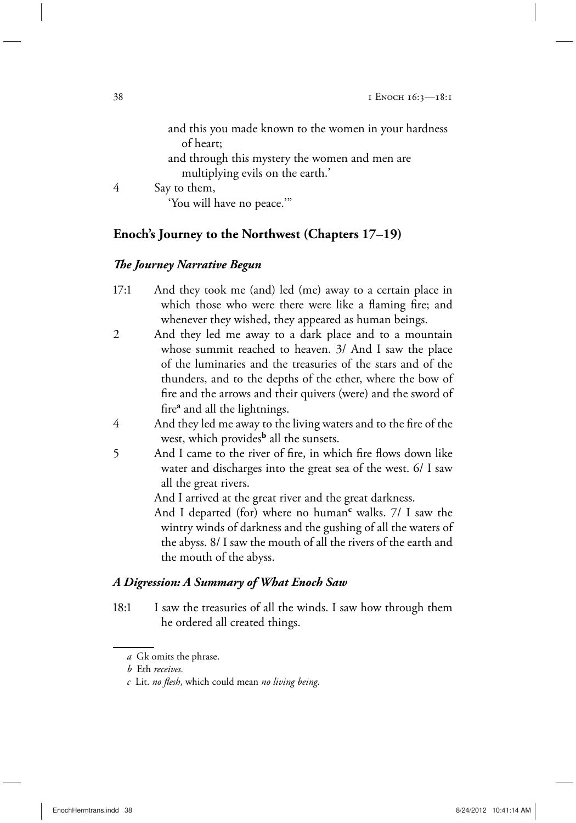|   | and this you made known to the women in your hardness |
|---|-------------------------------------------------------|
|   | of heart;                                             |
|   | and through this mystery the women and men are        |
|   | multiplying evils on the earth.'                      |
| 4 | Say to them,                                          |
|   | 'You will have no peace.""                            |
|   |                                                       |

## **Enoch's Journey to the Northwest (Chapters 17–19)**

## *The Journey Narrative Begun*

- 17:1 And they took me (and) led (me) away to a certain place in which those who were there were like a flaming fire; and whenever they wished, they appeared as human beings.
- 2 And they led me away to a dark place and to a mountain whose summit reached to heaven. 3/ And I saw the place of the luminaries and the treasuries of the stars and of the thunders, and to the depths of the ether, where the bow of fire and the arrows and their quivers (were) and the sword of fire**<sup>a</sup>** and all the lightnings.
- 4 And they led me away to the living waters and to the fire of the west, which provides**b** all the sunsets.
- 5 And I came to the river of fire, in which fire flows down like water and discharges into the great sea of the west. 6/ I saw all the great rivers.

And I arrived at the great river and the great darkness.

And I departed (for) where no human<sup>c</sup> walks. 7/ I saw the wintry winds of darkness and the gushing of all the waters of the abyss. 8/ I saw the mouth of all the rivers of the earth and the mouth of the abyss.

## *A Digression: A Summary of What Enoch Saw*

18:1 I saw the treasuries of all the winds. I saw how through them he ordered all created things.

*a* Gk omits the phrase.

*b* Eth *receives.*

*c* Lit. *no flesh*, which could mean *no living being.*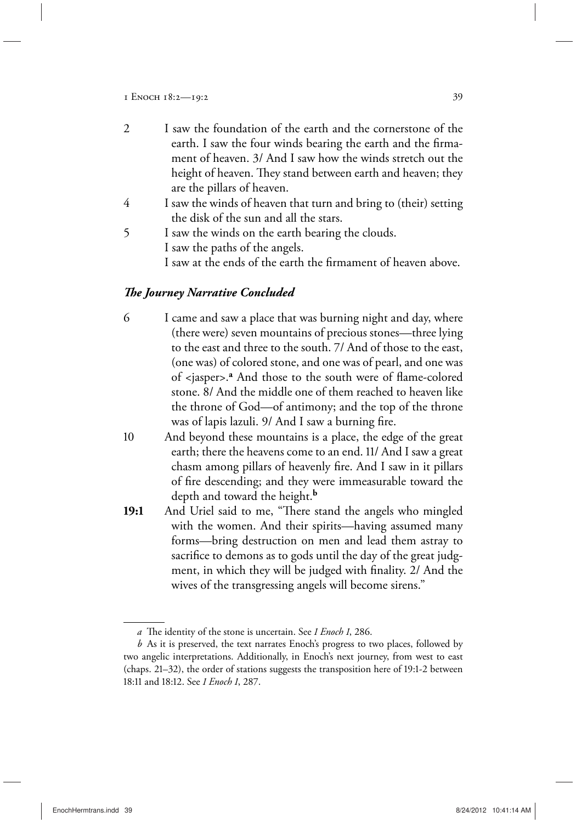- 2 I saw the foundation of the earth and the cornerstone of the earth. I saw the four winds bearing the earth and the firmament of heaven. 3/ And I saw how the winds stretch out the height of heaven. They stand between earth and heaven; they are the pillars of heaven.
- 4 I saw the winds of heaven that turn and bring to (their) setting the disk of the sun and all the stars.
- 5 I saw the winds on the earth bearing the clouds. I saw the paths of the angels. I saw at the ends of the earth the firmament of heaven above.

#### *The Journey Narrative Concluded*

- 6 I came and saw a place that was burning night and day, where (there were) seven mountains of precious stones—three lying to the east and three to the south. 7/ And of those to the east, (one was) of colored stone, and one was of pearl, and one was of <jasper>.**<sup>a</sup>** And those to the south were of flame-colored stone. 8/ And the middle one of them reached to heaven like the throne of God—of antimony; and the top of the throne was of lapis lazuli. 9/ And I saw a burning fire.
- 10 And beyond these mountains is a place, the edge of the great earth; there the heavens come to an end. 11/ And I saw a great chasm among pillars of heavenly fire. And I saw in it pillars of fire descending; and they were immeasurable toward the depth and toward the height.**<sup>b</sup>**
- **19:1** And Uriel said to me, "There stand the angels who mingled with the women. And their spirits—having assumed many forms—bring destruction on men and lead them astray to sacrifice to demons as to gods until the day of the great judgment, in which they will be judged with finality. 2/ And the wives of the transgressing angels will become sirens."

*a* The identity of the stone is uncertain. See *1 Enoch 1*, 286.

*b* As it is preserved, the text narrates Enoch's progress to two places, followed by two angelic interpretations. Additionally, in Enoch's next journey, from west to east (chaps. 21–32), the order of stations suggests the transposition here of 19:1-2 between 18:11 and 18:12. See *1 Enoch 1*, 287.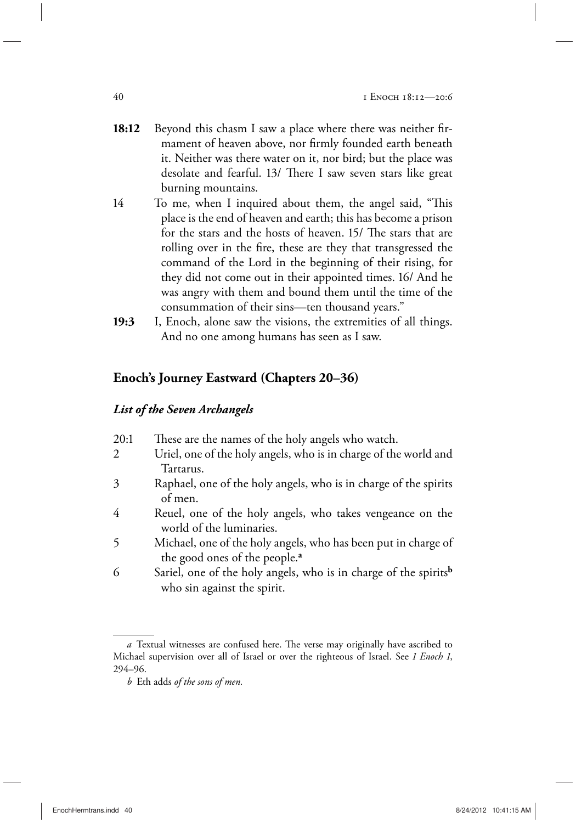- **18:12** Beyond this chasm I saw a place where there was neither firmament of heaven above, nor firmly founded earth beneath it. Neither was there water on it, nor bird; but the place was desolate and fearful. 13/ There I saw seven stars like great burning mountains.
- 14 To me, when I inquired about them, the angel said, "This place is the end of heaven and earth; this has become a prison for the stars and the hosts of heaven. 15/ The stars that are rolling over in the fire, these are they that transgressed the command of the Lord in the beginning of their rising, for they did not come out in their appointed times. 16/ And he was angry with them and bound them until the time of the consummation of their sins—ten thousand years."
- **19:3** I, Enoch, alone saw the visions, the extremities of all things. And no one among humans has seen as I saw.

## **Enoch's Journey Eastward (Chapters 20–36)**

#### *List of the Seven Archangels*

| 20:1 | These are the names of the holy angels who watch.                            |
|------|------------------------------------------------------------------------------|
| 2    | Uriel, one of the holy angels, who is in charge of the world and             |
|      | Tartarus.                                                                    |
| 3    | Raphael, one of the holy angels, who is in charge of the spirits             |
|      | of men.                                                                      |
| 4    | Reuel, one of the holy angels, who takes vengeance on the                    |
|      | world of the luminaries.                                                     |
| 5.   | Michael, one of the holy angels, who has been put in charge of               |
|      | the good ones of the people. <sup>a</sup>                                    |
| 6    | Sariel, one of the holy angels, who is in charge of the spirits <sup>b</sup> |
|      | who sin against the spirit.                                                  |
|      |                                                                              |

*a* Textual witnesses are confused here. The verse may originally have ascribed to Michael supervision over all of Israel or over the righteous of Israel. See *1 Enoch 1*, 294–96.

*b* Eth adds *of the sons of men.*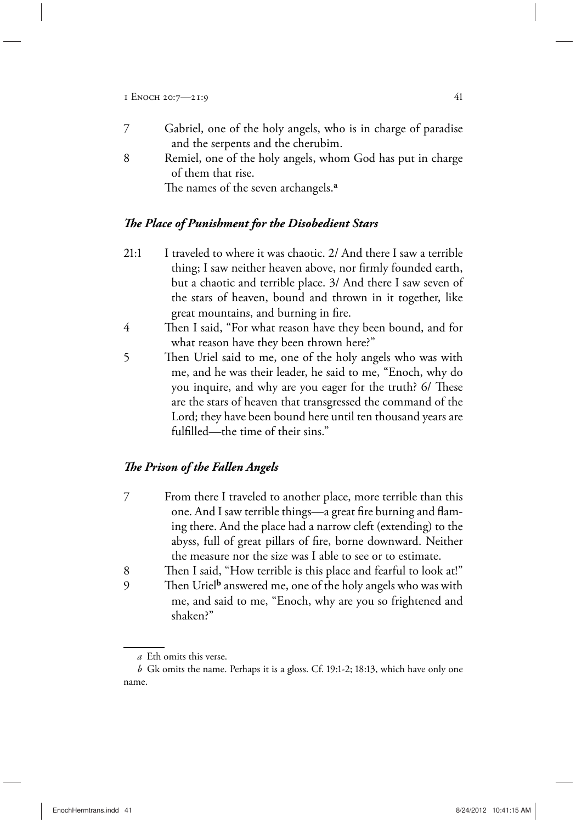- 7 Gabriel, one of the holy angels, who is in charge of paradise and the serpents and the cherubim.
- 8 Remiel, one of the holy angels, whom God has put in charge of them that rise.

The names of the seven archangels.**<sup>a</sup>**

## *The Place of Punishment for the Disobedient Stars*

- 21:1 I traveled to where it was chaotic. 2/ And there I saw a terrible thing; I saw neither heaven above, nor firmly founded earth, but a chaotic and terrible place. 3/ And there I saw seven of the stars of heaven, bound and thrown in it together, like great mountains, and burning in fire.
- 4 Then I said, "For what reason have they been bound, and for what reason have they been thrown here?"
- 5 Then Uriel said to me, one of the holy angels who was with me, and he was their leader, he said to me, "Enoch, why do you inquire, and why are you eager for the truth? 6/ These are the stars of heaven that transgressed the command of the Lord; they have been bound here until ten thousand years are fulfilled—the time of their sins."

## *The Prison of the Fallen Angels*

- 7 From there I traveled to another place, more terrible than this one. And I saw terrible things—a great fire burning and flaming there. And the place had a narrow cleft (extending) to the abyss, full of great pillars of fire, borne downward. Neither the measure nor the size was I able to see or to estimate.
- 8 Then I said, "How terrible is this place and fearful to look at!" 9 Then Uriel**<sup>b</sup>** answered me, one of the holy angels who was with
- me, and said to me, "Enoch, why are you so frightened and shaken?"

*a* Eth omits this verse.

*b* Gk omits the name. Perhaps it is a gloss. Cf. 19:1-2; 18:13, which have only one name.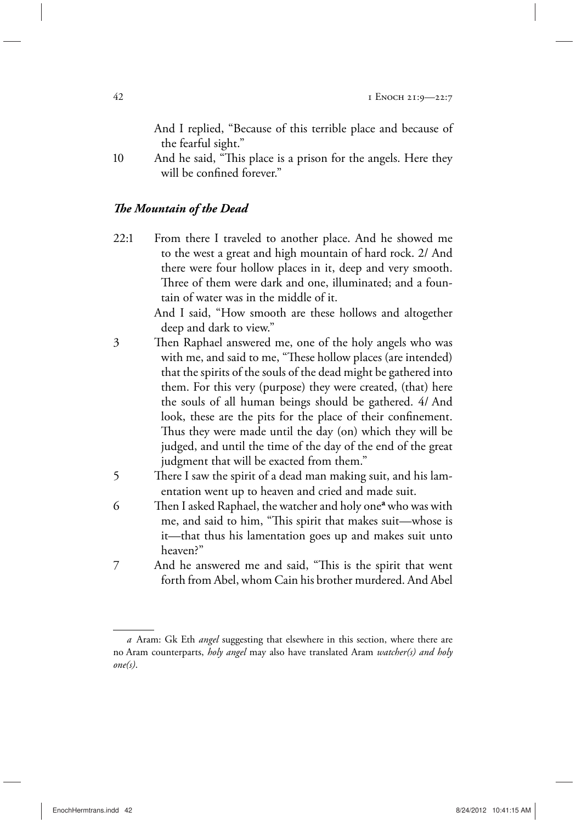And I replied, "Because of this terrible place and because of the fearful sight."

10 And he said, "This place is a prison for the angels. Here they will be confined forever."

#### *The Mountain of the Dead*

22:1 From there I traveled to another place. And he showed me to the west a great and high mountain of hard rock. 2/ And there were four hollow places in it, deep and very smooth. Three of them were dark and one, illuminated; and a fountain of water was in the middle of it.

 And I said, "How smooth are these hollows and altogether deep and dark to view."

- 3 Then Raphael answered me, one of the holy angels who was with me, and said to me, "These hollow places (are intended) that the spirits of the souls of the dead might be gathered into them. For this very (purpose) they were created, (that) here the souls of all human beings should be gathered. 4/ And look, these are the pits for the place of their confinement. Thus they were made until the day (on) which they will be judged, and until the time of the day of the end of the great judgment that will be exacted from them."
- 5 There I saw the spirit of a dead man making suit, and his lamentation went up to heaven and cried and made suit.
- 6 Then I asked Raphael, the watcher and holy one<sup>a</sup> who was with me, and said to him, "This spirit that makes suit—whose is it—that thus his lamentation goes up and makes suit unto heaven?"
- 7 And he answered me and said, "This is the spirit that went forth from Abel, whom Cain his brother murdered. And Abel

*a* Aram: Gk Eth *angel* suggesting that elsewhere in this section, where there are no Aram counterparts, *holy angel* may also have translated Aram *watcher(s) and holy one(s)*.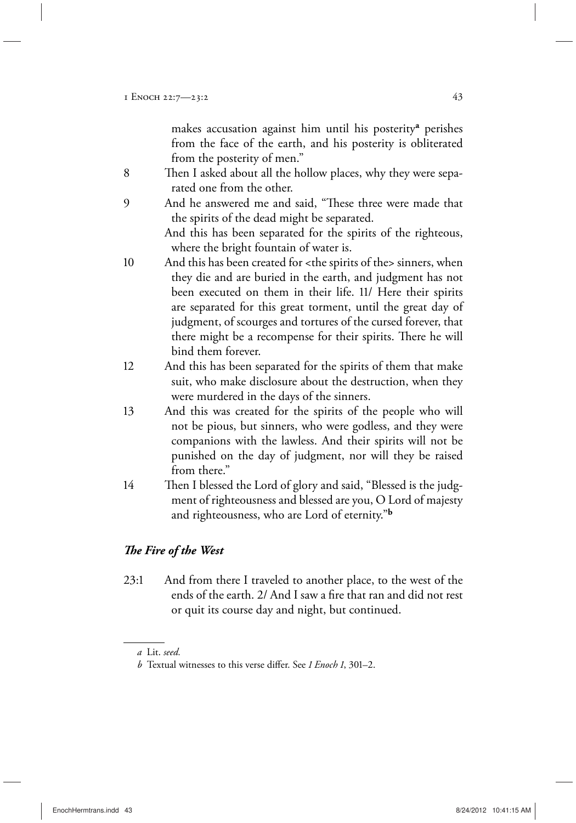makes accusation against him until his posterity**<sup>a</sup>** perishes from the face of the earth, and his posterity is obliterated from the posterity of men."

- 8 Then I asked about all the hollow places, why they were separated one from the other.
- 9 And he answered me and said, "These three were made that the spirits of the dead might be separated.

 And this has been separated for the spirits of the righteous, where the bright fountain of water is.

10 And this has been created for <the spirits of the> sinners, when they die and are buried in the earth, and judgment has not been executed on them in their life. 11/ Here their spirits are separated for this great torment, until the great day of judgment, of scourges and tortures of the cursed forever, that there might be a recompense for their spirits. There he will bind them forever.

- 12 And this has been separated for the spirits of them that make suit, who make disclosure about the destruction, when they were murdered in the days of the sinners.
- 13 And this was created for the spirits of the people who will not be pious, but sinners, who were godless, and they were companions with the lawless. And their spirits will not be punished on the day of judgment, nor will they be raised from there."
- 14 Then I blessed the Lord of glory and said, "Blessed is the judgment of righteousness and blessed are you, O Lord of majesty and righteousness, who are Lord of eternity."**<sup>b</sup>**

## *The Fire of the West*

23:1 And from there I traveled to another place, to the west of the ends of the earth. 2/ And I saw a fire that ran and did not rest or quit its course day and night, but continued.

*a* Lit. *seed.*

*b* Textual witnesses to this verse differ. See *1 Enoch 1*, 301–2.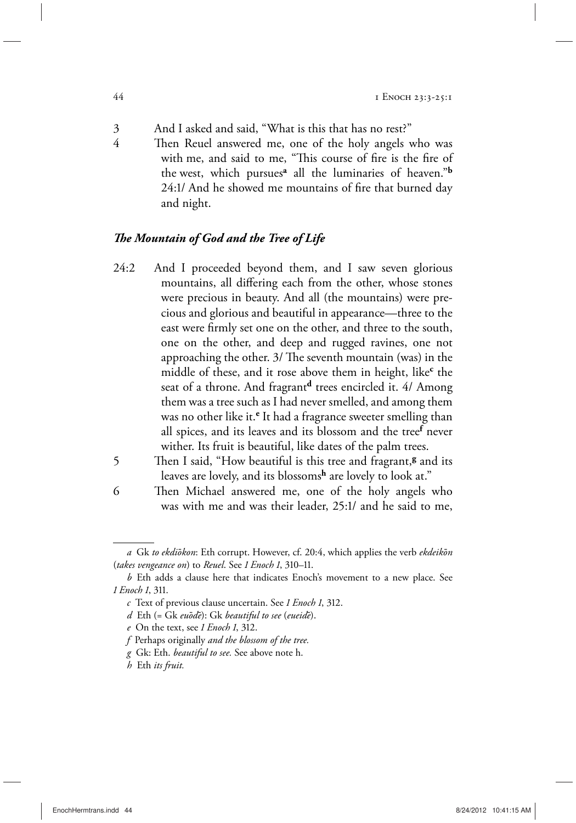- 3 And I asked and said, "What is this that has no rest?"
- 4 Then Reuel answered me, one of the holy angels who was with me, and said to me, "This course of fire is the fire of the west, which pursues**<sup>a</sup>** all the luminaries of heaven."**<sup>b</sup>** 24:1/ And he showed me mountains of fire that burned day and night.

#### *The Mountain of God and the Tree of Life*

- 24:2 And I proceeded beyond them, and I saw seven glorious mountains, all differing each from the other, whose stones were precious in beauty. And all (the mountains) were precious and glorious and beautiful in appearance—three to the east were firmly set one on the other, and three to the south, one on the other, and deep and rugged ravines, one not approaching the other. 3/ The seventh mountain (was) in the middle of these, and it rose above them in height, like<sup>c</sup> the seat of a throne. And fragrant**d** trees encircled it. 4/ Among them was a tree such as I had never smelled, and among them was no other like it.<sup>e</sup> It had a fragrance sweeter smelling than all spices, and its leaves and its blossom and the tree**<sup>f</sup>** never wither. Its fruit is beautiful, like dates of the palm trees.
- 5 Then I said, "How beautiful is this tree and fragrant,**g** and its leaves are lovely, and its blossoms**h** are lovely to look at."
- 6 Then Michael answered me, one of the holy angels who was with me and was their leader, 25:1/ and he said to me,

*a* Gk *to ekdioμkon*: Eth corrupt. However, cf. 20:4, which applies the verb *ekdeikoμn* (*takes vengeance on*) to *Reuel*. See *1 Enoch 1*, 310–11.

*b* Eth adds a clause here that indicates Enoch's movement to a new place. See *1 Enoch 1*, 311.

*c* Text of previous clause uncertain. See *1 Enoch 1*, 312.

*d* Eth (= Gk *euoμdeμ*): Gk *beautiful to see* (*eueideμ*).

*e* On the text, see *1 Enoch 1*, 312.

*f* Perhaps originally *and the blossom of the tree.*

*g* Gk: Eth. *beautiful to see.* See above note h.

*h* Eth *its fruit.*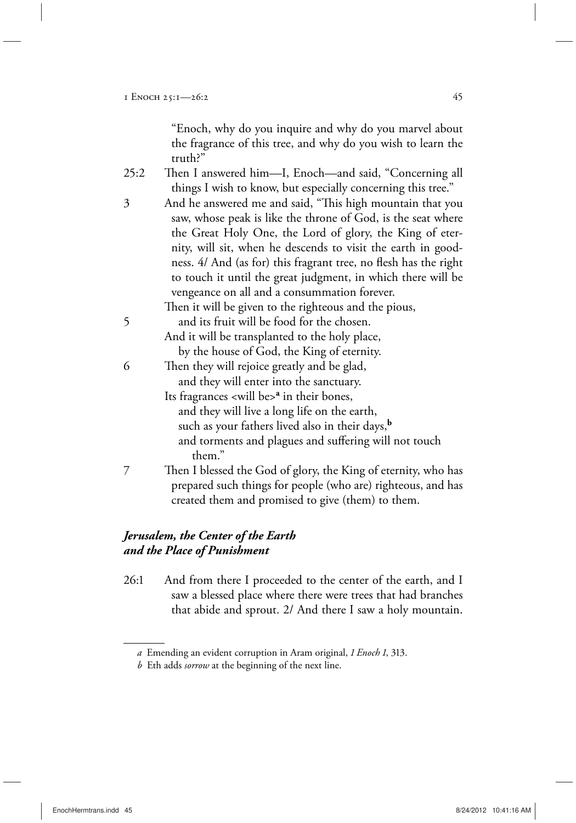"Enoch, why do you inquire and why do you marvel about the fragrance of this tree, and why do you wish to learn the truth?"

- 25:2 Then I answered him—I, Enoch—and said, "Concerning all things I wish to know, but especially concerning this tree."
- 3 And he answered me and said, "This high mountain that you saw, whose peak is like the throne of God, is the seat where the Great Holy One, the Lord of glory, the King of eternity, will sit, when he descends to visit the earth in goodness. 4/ And (as for) this fragrant tree, no flesh has the right to touch it until the great judgment, in which there will be vengeance on all and a consummation forever.

Then it will be given to the righteous and the pious,

- 5 and its fruit will be food for the chosen. And it will be transplanted to the holy place, by the house of God, the King of eternity.
- 6 Then they will rejoice greatly and be glad, and they will enter into the sanctuary.
- Its fragrances <will be>**<sup>a</sup>** in their bones, and they will live a long life on the earth, such as your fathers lived also in their days,**<sup>b</sup>** and torments and plagues and suffering will not touch them."
- 7 Then I blessed the God of glory, the King of eternity, who has prepared such things for people (who are) righteous, and has created them and promised to give (them) to them.

## *Jerusalem, the Center of the Earth and the Place of Punishment*

26:1 And from there I proceeded to the center of the earth, and I saw a blessed place where there were trees that had branches that abide and sprout. 2/ And there I saw a holy mountain.

*a* Emending an evident corruption in Aram original, *1 Enoch 1*, 313.

*b* Eth adds *sorrow* at the beginning of the next line.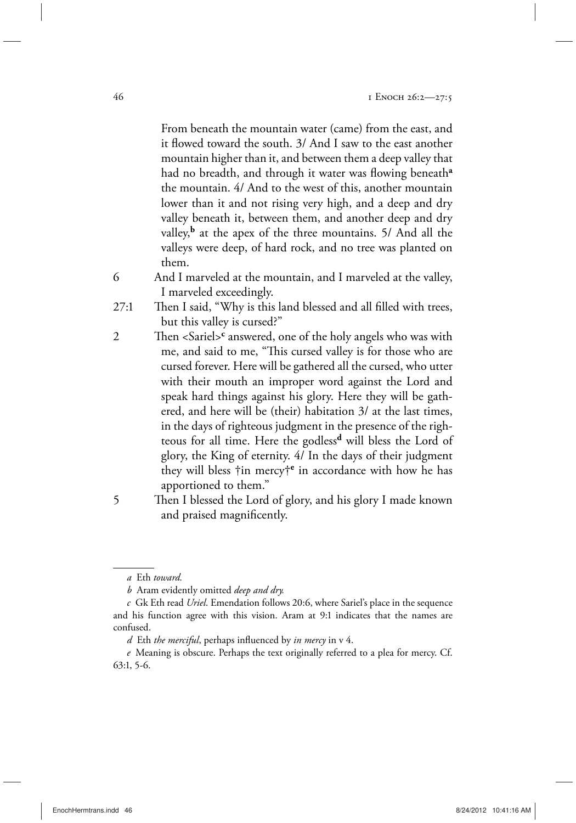From beneath the mountain water (came) from the east, and it flowed toward the south. 3/ And I saw to the east another mountain higher than it, and between them a deep valley that had no breadth, and through it water was flowing beneath**<sup>a</sup>** the mountain. 4/ And to the west of this, another mountain lower than it and not rising very high, and a deep and dry valley beneath it, between them, and another deep and dry valley,<sup>b</sup> at the apex of the three mountains. 5/ And all the valleys were deep, of hard rock, and no tree was planted on them.

- 6 And I marveled at the mountain, and I marveled at the valley, I marveled exceedingly.
- 27:1 Then I said, "Why is this land blessed and all filled with trees, but this valley is cursed?"
- 2 Then <Sariel><sup>c</sup> answered, one of the holy angels who was with me, and said to me, "This cursed valley is for those who are cursed forever. Here will be gathered all the cursed, who utter with their mouth an improper word against the Lord and speak hard things against his glory. Here they will be gathered, and here will be (their) habitation 3/ at the last times, in the days of righteous judgment in the presence of the righteous for all time. Here the godless**d** will bless the Lord of glory, the King of eternity. 4/ In the days of their judgment they will bless †in mercy†**<sup>e</sup>** in accordance with how he has apportioned to them."
- 5 Then I blessed the Lord of glory, and his glory I made known and praised magnificently.

*a* Eth *toward.*

*b* Aram evidently omitted *deep and dry.*

*c* Gk Eth read *Uriel*. Emendation follows 20:6, where Sariel's place in the sequence and his function agree with this vision. Aram at 9:1 indicates that the names are confused.

*d* Eth *the merciful*, perhaps influenced by *in mercy* in v 4.

*e* Meaning is obscure. Perhaps the text originally referred to a plea for mercy. Cf. 63:1, 5-6.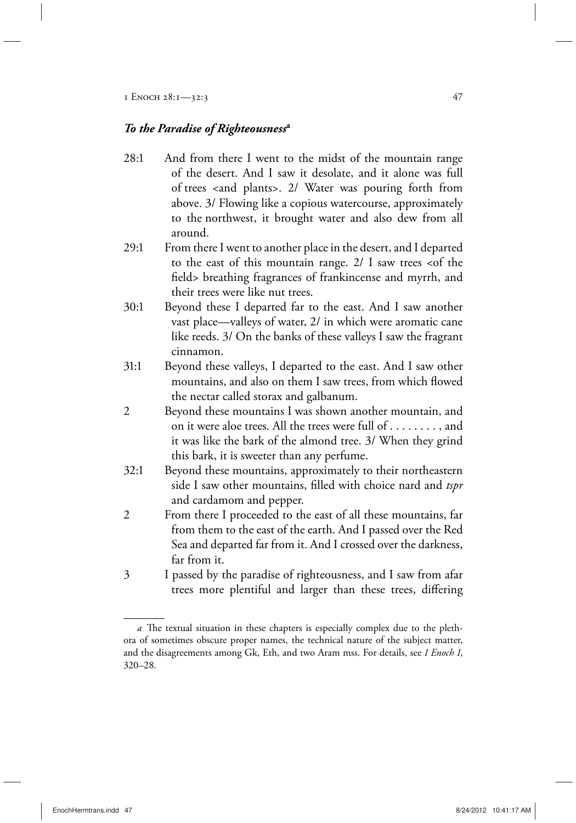#### *To the Paradise of Righteousness***<sup>a</sup>**

- 28:1 And from there I went to the midst of the mountain range of the desert. And I saw it desolate, and it alone was full of trees <and plants>. 2/ Water was pouring forth from above. 3/ Flowing like a copious watercourse, approximately to the northwest, it brought water and also dew from all around.
- 29:1 From there I went to another place in the desert, and I departed to the east of this mountain range.  $2/1$  saw trees <of the field> breathing fragrances of frankincense and myrrh, and their trees were like nut trees.
- 30:1 Beyond these I departed far to the east. And I saw another vast place—valleys of water, 2/ in which were aromatic cane like reeds. 3/ On the banks of these valleys I saw the fragrant cinnamon.
- 31:1 Beyond these valleys, I departed to the east. And I saw other mountains, and also on them I saw trees, from which flowed the nectar called storax and galbanum.
- 2 Beyond these mountains I was shown another mountain, and on it were aloe trees. All the trees were full of . . . . . . . . , and it was like the bark of the almond tree. 3/ When they grind this bark, it is sweeter than any perfume.
- 32:1 Beyond these mountains, approximately to their northeastern side I saw other mountains, filled with choice nard and *tspr* and cardamom and pepper.
- 2 From there I proceeded to the east of all these mountains, far from them to the east of the earth. And I passed over the Red Sea and departed far from it. And I crossed over the darkness, far from it.
- 3 I passed by the paradise of righteousness, and I saw from afar trees more plentiful and larger than these trees, differing

*a* The textual situation in these chapters is especially complex due to the plethora of sometimes obscure proper names, the technical nature of the subject matter, and the disagreements among Gk, Eth, and two Aram mss. For details, see *1 Enoch 1*, 320–28.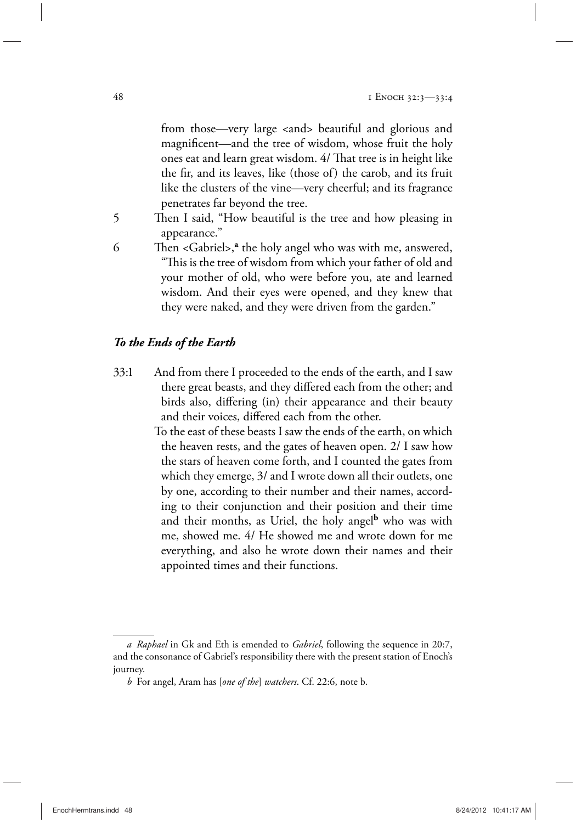from those—very large <and> beautiful and glorious and magnificent—and the tree of wisdom, whose fruit the holy ones eat and learn great wisdom. 4/ That tree is in height like the fir, and its leaves, like (those of) the carob, and its fruit like the clusters of the vine—very cheerful; and its fragrance penetrates far beyond the tree.

5 Then I said, "How beautiful is the tree and how pleasing in appearance."

6 Then <Gabriel>,**<sup>a</sup>** the holy angel who was with me, answered, "This is the tree of wisdom from which your father of old and your mother of old, who were before you, ate and learned wisdom. And their eyes were opened, and they knew that they were naked, and they were driven from the garden."

#### *To the Ends of the Earth*

33:1 And from there I proceeded to the ends of the earth, and I saw there great beasts, and they differed each from the other; and birds also, differing (in) their appearance and their beauty and their voices, differed each from the other.

> To the east of these beasts I saw the ends of the earth, on which the heaven rests, and the gates of heaven open. 2/ I saw how the stars of heaven come forth, and I counted the gates from which they emerge, 3/ and I wrote down all their outlets, one by one, according to their number and their names, according to their conjunction and their position and their time and their months, as Uriel, the holy angel<sup>b</sup> who was with me, showed me. 4/ He showed me and wrote down for me everything, and also he wrote down their names and their appointed times and their functions.

*a Raphael* in Gk and Eth is emended to *Gabriel*, following the sequence in 20:7, and the consonance of Gabriel's responsibility there with the present station of Enoch's journey.

*b* For angel, Aram has [*one of the*] *watchers*. Cf. 22:6, note b.